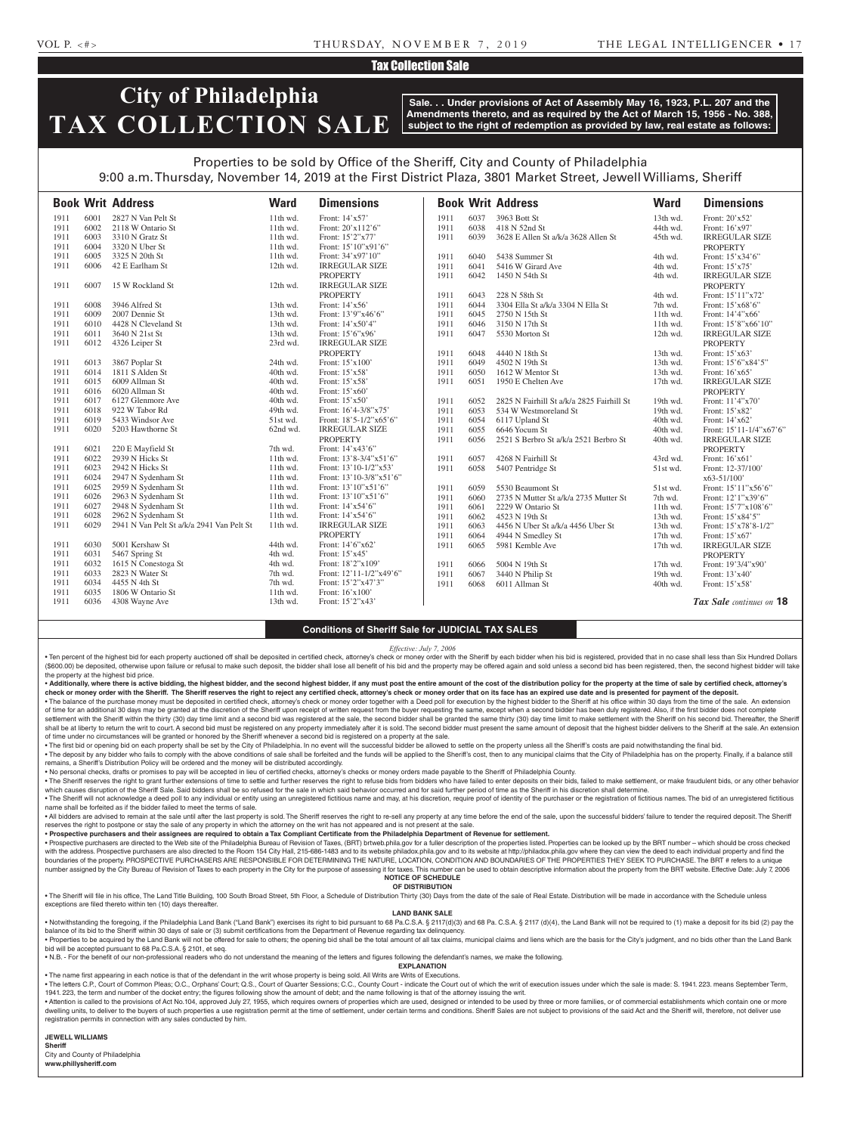## Tax Collection Sale

## **City of Philadelphia TAX COLLECTION SALE**

**Sale. . . Under provisions of Act of Assembly May 16, 1923, P.L. 207 and the Amendments thereto, and as required by the Act of March 15, 1956 - No. 388, subject to the right of redemption as provided by law, real estate as follows:**

## Properties to be sold by Office of the Sheriff, City and County of Philadelphia 9:00 a.m. Thursday, November 14, 2019 at the First District Plaza, 3801 Market Street, Jewell Williams, Sheriff

|      |      | <b>Book Writ Address</b>                  | <b>Ward</b> | <b>Dimensions</b>       |      |      | <b>Book Writ Address</b>                  | <b>Ward</b> | <b>Dimensions</b>        |
|------|------|-------------------------------------------|-------------|-------------------------|------|------|-------------------------------------------|-------------|--------------------------|
| 1911 | 6001 | 2827 N Van Pelt St                        | 11th wd.    | Front: 14'x57'          | 1911 | 6037 | 3963 Bott St                              | 13th wd.    | Front: 20'x52'           |
| 1911 | 6002 | 2118 W Ontario St                         | 11th wd.    | Front: 20'x112'6"       | 1911 | 6038 | 418 N 52nd St                             | 44th wd.    | Front: 16'x97'           |
| 1911 | 6003 | 3310 N Gratz St                           | 11th wd.    | Front: 15'2"x77'        | 1911 | 6039 | 3628 E Allen St a/k/a 3628 Allen St       | 45th wd.    | <b>IRREGULAR SIZE</b>    |
| 1911 | 6004 | 3320 N Uber St                            | 11th wd.    | Front: 15'10"x91'6"     |      |      |                                           |             | <b>PROPERTY</b>          |
| 1911 | 6005 | 3325 N 20th St                            | 11th wd.    | Front: 34'x97'10"       | 1911 | 6040 | 5438 Summer St                            | 4th wd.     | Front: 15'x34'6"         |
| 1911 | 6006 | 42 E Earlham St                           | 12th wd.    | <b>IRREGULAR SIZE</b>   | 1911 | 6041 | 5416 W Girard Ave                         | 4th wd.     | Front: 15'x75'           |
|      |      |                                           |             | <b>PROPERTY</b>         | 1911 | 6042 | 1450 N 54th St                            | 4th wd.     | <b>IRREGULAR SIZE</b>    |
| 1911 | 6007 | 15 W Rockland St                          | 12th wd.    | <b>IRREGULAR SIZE</b>   |      |      |                                           |             | <b>PROPERTY</b>          |
|      |      |                                           |             | <b>PROPERTY</b>         | 1911 | 6043 | 228 N 58th St                             | 4th wd.     | Front: 15'11"x72'        |
| 1911 | 6008 | 3946 Alfred St                            | 13th wd.    | Front: 14'x56'          | 1911 | 6044 | 3304 Ella St a/k/a 3304 N Ella St         | 7th wd.     | Front: 15'x68'6"         |
| 1911 | 6009 | 2007 Dennie St                            | 13th wd.    | Front: 13'9"x46'6"      | 1911 | 6045 | 2750 N 15th St                            | 11th wd.    | Front: 14'4"x66'         |
| 1911 | 6010 | 4428 N Cleveland St                       | 13th wd.    | Front: 14'x50'4"        | 1911 | 6046 | 3150 N 17th St                            | 11th wd.    | Front: 15'8"x66'10"      |
| 1911 | 6011 | 3640 N 21st St                            | 13th wd.    | Front: 15'6"x96'        | 1911 | 6047 | 5530 Morton St                            | 12th wd.    | <b>IRREGULAR SIZE</b>    |
| 1911 | 6012 | 4326 Leiper St                            | 23rd wd.    | <b>IRREGULAR SIZE</b>   |      |      |                                           |             | <b>PROPERTY</b>          |
|      |      |                                           |             | <b>PROPERTY</b>         | 1911 | 6048 | 4440 N 18th St                            | 13th wd.    | Front: 15'x63'           |
| 1911 | 6013 | 3867 Poplar St                            | 24th wd.    | Front: 15'x100'         | 1911 | 6049 | 4502 N 19th St                            | 13th wd.    | Front: 15'6"x84'5"       |
| 1911 | 6014 | 1811 S Alden St                           | 40th wd.    | Front: 15'x58'          | 1911 | 6050 | 1612 W Mentor St                          | 13th wd.    | Front: 16'x65'           |
| 1911 | 6015 | 6009 Allman St                            | 40th wd.    | Front: 15'x58'          | 1911 | 6051 | 1950 E Chelten Ave                        | 17th wd.    | <b>IRREGULAR SIZE</b>    |
| 1911 | 6016 | 6020 Allman St                            | 40th wd.    | Front: 15'x60'          |      |      |                                           |             | <b>PROPERTY</b>          |
| 1911 | 6017 | 6127 Glenmore Ave                         | 40th wd.    | Front: 15'x50'          | 1911 | 6052 | 2825 N Fairhill St a/k/a 2825 Fairhill St | 19th wd.    | Front: 11'4"x70'         |
| 1911 | 6018 | 922 W Tabor Rd                            | 49th wd.    | Front: 16'4-3/8"x75'    | 1911 | 6053 | 534 W Westmoreland St                     | 19th wd.    | Front: 15'x82'           |
| 1911 | 6019 | 5433 Windsor Ave                          | 51st wd.    | Front: 18'5-1/2"x65'6"  | 1911 | 6054 | 6117 Upland St                            | 40th wd.    | Front: 14'x62'           |
| 1911 | 6020 | 5203 Hawthorne St                         | 62nd wd.    | <b>IRREGULAR SIZE</b>   | 1911 | 6055 | 6646 Yocum St                             | 40th wd.    | Front: 15'11-1/4"x67'6"  |
|      |      |                                           |             | <b>PROPERTY</b>         | 1911 | 6056 | 2521 S Berbro St a/k/a 2521 Berbro St     | 40th wd.    | <b>IRREGULAR SIZE</b>    |
| 1911 | 6021 | 220 E Mayfield St                         | 7th wd.     | Front: 14'x43'6"        |      |      |                                           |             | <b>PROPERTY</b>          |
| 1911 | 6022 | 2939 N Hicks St                           | 11th wd.    | Front: 13'8-3/4"x51'6"  | 1911 | 6057 | 4268 N Fairhill St                        | 43rd wd.    | Front: 16'x61'           |
| 1911 | 6023 | 2942 N Hicks St                           | 11th wd.    | Front: 13'10-1/2"x53'   | 1911 | 6058 | 5407 Pentridge St                         | 51st wd.    | Front: 12-37/100'        |
| 1911 | 6024 | 2947 N Sydenham St                        | 11th wd.    | Front: 13'10-3/8"x51'6" |      |      |                                           |             | $x63 - 51/100$           |
| 1911 | 6025 | 2959 N Sydenham St                        | 11th wd.    | Front: 13'10"x51'6"     | 1911 | 6059 | 5530 Beaumont St                          | 51st wd.    | Front: 15'11"x56'6"      |
| 1911 | 6026 | 2963 N Sydenham St                        | 11th wd.    | Front: 13'10"x51'6"     | 1911 | 6060 | 2735 N Mutter St a/k/a 2735 Mutter St     | 7th wd.     | Front: 12'1"x39'6"       |
| 1911 | 6027 | 2948 N Sydenham St                        | 11th wd.    | Front: 14'x54'6"        | 1911 | 6061 | 2229 W Ontario St                         | 11th wd.    | Front: 15'7"x108'6"      |
| 1911 | 6028 | 2962 N Sydenham St                        | 11th wd.    | Front: 14'x54'6"        | 1911 | 6062 | 4523 N 19th St                            | 13th wd.    | Front: 15'x84'5"         |
| 1911 | 6029 | 2941 N Van Pelt St a/k/a 2941 Van Pelt St | 11th wd.    | <b>IRREGULAR SIZE</b>   | 1911 | 6063 | 4456 N Uber St a/k/a 4456 Uber St         | 13th wd.    | Front: 15'x78'8-1/2"     |
|      |      |                                           |             | <b>PROPERTY</b>         | 1911 | 6064 | 4944 N Smedley St                         | 17th wd.    | Front: $15'x67'$         |
| 1911 | 6030 | 5001 Kershaw St                           | 44th wd.    | Front: 14'6"x62"        | 1911 | 6065 | 5981 Kemble Ave                           | 17th wd.    | <b>IRREGULAR SIZE</b>    |
| 1911 | 6031 | 5467 Spring St                            | 4th wd.     | Front: 15'x45'          |      |      |                                           |             | <b>PROPERTY</b>          |
| 1911 | 6032 | 1615 N Conestoga St                       | 4th wd.     | Front: 18'2"x109'       | 1911 | 6066 | 5004 N 19th St                            | 17th wd.    | Front: 19'3/4"x90'       |
| 1911 | 6033 | 2823 N Water St                           | 7th wd.     | Front: 12'11-1/2"x49'6" | 1911 | 6067 | 3440 N Philip St                          | 19th wd.    | Front: 13'x40'           |
| 1911 | 6034 | 4455 N 4th St                             | 7th wd.     | Front: 15'2"x47'3"      | 1911 | 6068 | 6011 Allman St                            | 40th wd.    | Front: 15'x58'           |
| 1911 | 6035 | 1806 W Ontario St                         | 11th wd.    | Front: 16'x100'         |      |      |                                           |             |                          |
| 1911 | 6036 | 4308 Wayne Ave                            | 13th wd.    | Front: 15'2"x43'        |      |      |                                           |             | Tax Sale continues on 18 |

#### **Conditions of Sheriff Sale for JUDICIAL TAX SALES**

#### *Effective: July 7, 2006*

· Ten percent of the highest bid for each property auctioned off shall be deposited in certified check, attorney's check or money order with the Sheriff by each bidder when his bid is registered, provided that in no case s (\$600.00) be deposited, otherwise upon failure or refusal to make such deposit, the bidder shall lose all benefit of his bid and the property may be offered again and sold unless a second bid has been registered, then, the the property at the highest bid price.

. Additionally, where there is active bidding, the highest bidder, and the second highest bidder, if any must post the entire amount of the cost of the distribution policy for the property at the time of sale by certified check or money order with the Sheriff. The Sheriff reserves the right to reject any certified check, attorney's check or money order that on its face has an expired use date and is presented for payment of the deposit. . The balance of the purchase money must be deposited in certified check, attorney's check or money order together with a Deed poll for execution by the highest bidder to the Sheriff at his office within 30 days from the t

of time for an additional 30 days may be granted at the discretion of the Sheriff upon receipt of written request from the buyer requesting the same, except when a second bidder has been duly registered. Also, if the first settlement with the Sheriff within the thirty (30) day time limit and a second bid was registered at the sale, the second bidder shall be granted the same thirty (30) day time limit to make settlement with the Sheriff on h shall be at liberty to return the writ to court. A second bid must be registered on any property immediately after it is sold. The second bidder must present the same amount of deposit that the highest bidder delivers to t of time under no circumstances will be granted or honored by the Sheriff whenever a second bid is registered on a property at the sale.

. The first bid or opening bid on each property shall be set by the City of Philadelphia. In no event will the successful bidder be allowed to settle on the property unless all the Sheriff's costs are paid notwithstanding . The deposit by any bidder who fails to comply with the above conditions of sale shall be forfeited and the funds will be applied to the Sheriff's cost, then to any municipal claims that the City of Philadelphia has on th

remains, a Sheriff's Distribution Policy will be ordered and the money will be distributed accordingly.

• No personal checks, drafts or promises to pay will be accepted in lieu of certified checks, attorney's checks or money orders made payable to the Sheriff of Philadelphia County.

. The Sheriff reserves the right to grant further extensions of time to settle and further reserves the right to refuse bids from bidders who have failed to enter deposits on their bids, failed to make settlement, or make which causes disruption of the Sheriff Sale. Said bidders shall be so refused for the sale in which said behavior occurred and for said further period of time as the Sheriff in his discretion shall determine. . The Sheriff will not acknowledge a deed poll to any individual or entity using an unregistered fictitious name and may, at his discretion, require proof of identity of the purchaser or the registration of fictitious name

name shall be forfeited as if the bidder failed to meet the terms of sale. . All bidders are advised to remain at the sale until after the last property is sold. The Sheriff reserves the right to re-sell any property at any time before the end of the sale, upon the successful bidders' failure to reserves the right to postpone or stay the sale of any property in which the attorney on the writ has not appeared and is not present at the sale

• **Prospective purchasers and their assignees are required to obtain a Tax Compliant Certificate from the Philadelphia Department of Revenue for settlement.**

. Prospective purchasers are directed to the Web site of the Philadelphia Bureau of Revision of Taxes, (BRT) brtweb.phila.gov for a fuller description of the properties listed. Properties can be looked up by the BRT number with the address. Prospective purchasers are also directed to the Room 154 City Hall, 215-686-1483 and to its website philadox phila.goy and to its website at http://philadox.phila.goy where they can yiew the deed to each boundaries of the property. PROSPECTIVE PURCHASERS ARE RESPONSIBLE FOR DETERMINING THE NATURE, LOCATION, CONDITION AND BOUNDARIES OF THE PROPERTIES THEY SEEK TO PURCHASE. The BRT # refers to a unique number assigned by the City Bureau of Revision of Taxes to each property in the City for the purpose of assessing it for taxes. This number can be used to obtain descriptive information about the property from the BRT webs **NOTICE OF SCHEDULE**

#### **OF DISTRIBUTION**

. The Sheriff will file in his office, The Land Title Building, 100 South Broad Street, 5th Floor, a Schedule of Distribution Thirty (30) Days from the date of the sale of Real Estate. Distribution will be made in accordan exceptions are filed thereto within ten (10) days thereafter.

#### **LAND BANK SALE**

. Notwithstanding the foregoing, if the Philadelphia Land Bank ("Land Bank") exercises its right to bid pursuant to 68 Pa.C.S.A. § 2117(d)(3) and 68 Pa.C.S.A. § 2117 (d)(4), the Land Bank will not be required to (1) make a balance of its bid to the Sheriff within 30 days of sale or (3) submit certifications from the Department of Revenue regarding tax delinquency.

· Properties to be acquired by the Land Bank will not be offered for sale to others; the opening bid shall be the total amount of all tax claims, municipal claims and liens which are the basis for the City's judgment, and bid will be accepted pursuant to 68 Pa.C.S.A. § 2101, et seq.

• N.B. - For the benefit of our non-professional readers who do not understand the meaning of the letters and figures following the defendant's names, we make the following. **EXPLANATION** 

• The name first appearing in each notice is that of the defendant in the writ whose property is being sold. All Writs are Writs of Executions.

• The letters C.P., Court of Common Pleas: O.C., Orphans' Court: Q.S., Court of Quarter Sessions: C.C., County Court - indicate the Court out of which the writ of execution issues under which the sale is made: S. 1941, 223 1941. 223, the term and number of the docket entry; the figures following show the amount of debt; and the name following is that of the attorney issuing the writ.

Attention is called to the provisions of Act No.104, approved July 27, 1955, which requires owners of properties which are used, designed or intended to be used by three or more families, or of commercial establishments wh dwelling units, to deliver to the buyers of such properties a use registration permit at the time of settlement, under certain terms and conditions. Sheriff Sales are not subject to provisions of the said Act and the Sheri registration permits in connection with any sales conducted by him.

#### **JEWELL WILLIAMS**

**Sheriff**  City and County of Philadelphia **www.phillysheriff.com**